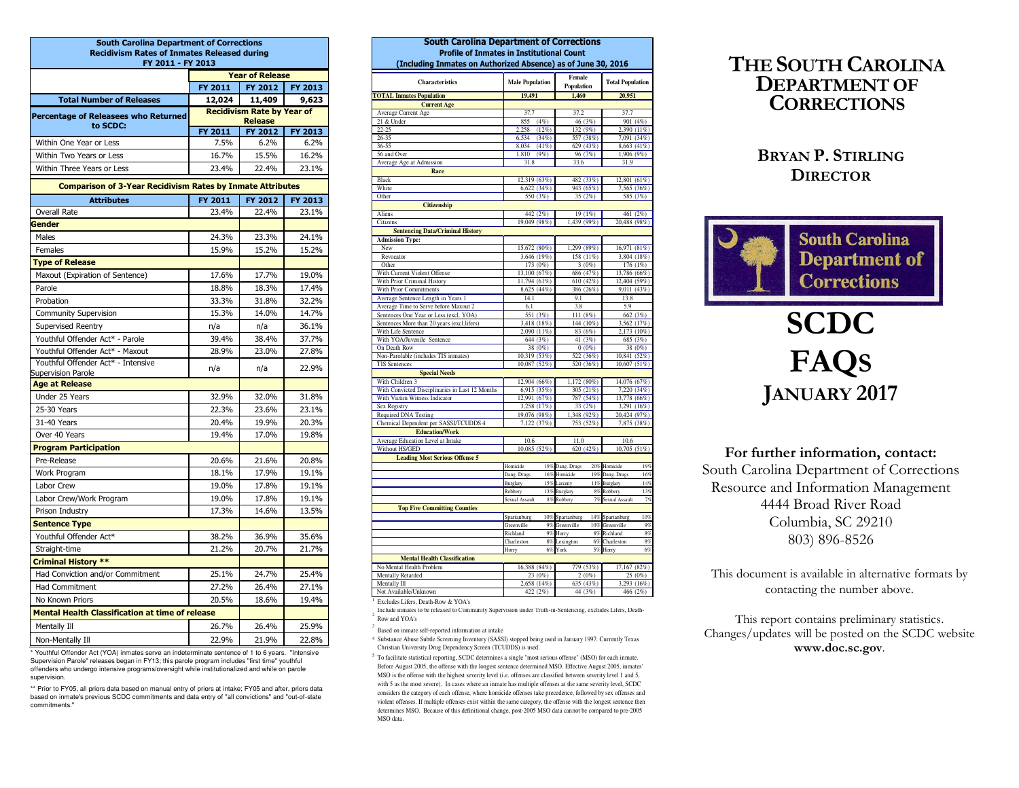| <b>South Carolina Department of Corrections</b><br><b>Recidivism Rates of Inmates Released during</b> |                                   |                                  |                |  |  |  |  |
|-------------------------------------------------------------------------------------------------------|-----------------------------------|----------------------------------|----------------|--|--|--|--|
| FY 2011 - FY 2013                                                                                     |                                   |                                  |                |  |  |  |  |
|                                                                                                       |                                   | <b>Year of Release</b>           |                |  |  |  |  |
|                                                                                                       | FY 2011                           | FY 2012                          | <b>FY 2013</b> |  |  |  |  |
| <b>Total Number of Releases</b>                                                                       | 12,024                            | 11,409                           | 9,623          |  |  |  |  |
| Percentage of Releasees who Returned                                                                  | <b>Recidivism Rate by Year of</b> |                                  |                |  |  |  |  |
| to SCDC:                                                                                              | <b>FY 2011</b>                    | <b>Release</b><br><b>FY 2012</b> | <b>FY 2013</b> |  |  |  |  |
| Within One Year or Less                                                                               | 7.5%                              | 6.2%                             | 6.2%           |  |  |  |  |
| Within Two Years or Less                                                                              | 16.7%                             | 15.5%                            | 16.2%          |  |  |  |  |
| Within Three Years or Less                                                                            | 23.4%                             | 22.4%                            | 23.1%          |  |  |  |  |
| <b>Comparison of 3-Year Recidivism Rates by Inmate Attributes</b>                                     |                                   |                                  |                |  |  |  |  |
| <b>Attributes</b>                                                                                     | FY 2011                           | FY 2012                          | FY 2013        |  |  |  |  |
| <b>Overall Rate</b>                                                                                   | 23.4%                             | 22.4%                            | 23.1%          |  |  |  |  |
| Gender                                                                                                |                                   |                                  |                |  |  |  |  |
| Males                                                                                                 | 24.3%                             | 23.3%                            | 24.1%          |  |  |  |  |
| Females                                                                                               | 15.9%                             | 15.2%                            | 15.2%          |  |  |  |  |
| <b>Type of Release</b>                                                                                |                                   |                                  |                |  |  |  |  |
| Maxout (Expiration of Sentence)                                                                       | 17.6%                             | 17.7%                            | 19.0%          |  |  |  |  |
| Parole                                                                                                | 18.8%                             | 18.3%                            | 17.4%          |  |  |  |  |
| Probation                                                                                             | 33.3%                             | 31.8%                            | 32.2%          |  |  |  |  |
| Community Supervision                                                                                 | 15.3%                             | 14.0%                            | 14.7%          |  |  |  |  |
| Supervised Reentry                                                                                    | n/a                               | n/a                              | 36.1%          |  |  |  |  |
| Youthful Offender Act* - Parole                                                                       | 39.4%                             | 38.4%                            | 37.7%          |  |  |  |  |
| Youthful Offender Act* - Maxout                                                                       | 28.9%                             | 23.0%                            | 27.8%          |  |  |  |  |
| Youthful Offender Act* - Intensive                                                                    | n/a                               | n/a                              | 22.9%          |  |  |  |  |
| Supervision Parole<br><b>Age at Release</b>                                                           |                                   |                                  |                |  |  |  |  |
| Under 25 Years                                                                                        | 32.9%                             | 32.0%                            | 31.8%          |  |  |  |  |
| 25-30 Years                                                                                           | 22.3%                             | 23.6%                            | 23.1%          |  |  |  |  |
| 31-40 Years                                                                                           | 20.4%                             | 19.9%                            | 20.3%          |  |  |  |  |
| Over 40 Years                                                                                         | 19.4%                             | 17.0%                            | 19.8%          |  |  |  |  |
| <b>Program Participation</b>                                                                          |                                   |                                  |                |  |  |  |  |
| Pre-Release                                                                                           | 20.6%                             | 21.6%                            | 20.8%          |  |  |  |  |
| Work Program                                                                                          | 18.1%                             | 17.9%                            | 19.1%          |  |  |  |  |
| Labor Crew                                                                                            | 19.0%                             | 17.8%                            | 19.1%          |  |  |  |  |
| Labor Crew/Work Program                                                                               | 19.0%                             | 17.8%                            | 19.1%          |  |  |  |  |
| Prison Industry                                                                                       | 17.3%                             | 14.6%                            | 13.5%          |  |  |  |  |
| <b>Sentence Type</b>                                                                                  |                                   |                                  |                |  |  |  |  |
| Youthful Offender Act*                                                                                | 38.2%                             | 36.9%                            | 35.6%          |  |  |  |  |
| Straight-time                                                                                         | 21.2%                             | 20.7%                            | 21.7%          |  |  |  |  |
| <b>Criminal History **</b>                                                                            |                                   |                                  |                |  |  |  |  |
| Had Conviction and/or Commitment                                                                      | 25.1%                             | 24.7%                            | 25.4%          |  |  |  |  |
| <b>Had Commitment</b>                                                                                 | 27.2%                             | 26.4%                            | 27.1%          |  |  |  |  |
| No Known Priors                                                                                       | 20.5%                             | 18.6%                            | 19.4%          |  |  |  |  |
| <b>Mental Health Classification at time of release</b>                                                |                                   |                                  |                |  |  |  |  |
| Mentally Ill                                                                                          | 26.7%                             | 26.4%                            | 25.9%          |  |  |  |  |
| Non-Mentally Ill                                                                                      | 22.9%                             | 21.9%                            | 22.8%          |  |  |  |  |

 Non-Mentally Ill 22.9% 21.9% 22.8% \* Youthful Offender Act (YOA) inmates serve an indeterminate sentence of 1 to 6 years. "Intensive Supervision Parole" releases began in FY13; this parole program includes "first time" youthful offenders who undergo intensive programs/oversight while institutionalized and while on parole supervision.

\*\* Prior to FY05, all priors data based on manual entry of priors at intake; FY05 and after, priors data based on inmate's previous SCDC commitments and data entry of "all convictions" and "out-of-state commitments."

| South Carolina Department of Corrections<br><b>Profile of Inmates in Institutional Count</b><br>(Including Inmates on Authorized Absence) as of June 30, 2016 |                         |                       |                         |  |  |
|---------------------------------------------------------------------------------------------------------------------------------------------------------------|-------------------------|-----------------------|-------------------------|--|--|
| Characteristics                                                                                                                                               | <b>Male Population</b>  | Female<br>Population  | <b>Total Population</b> |  |  |
| <b>TOTAL Inmates Population</b>                                                                                                                               | 19,491                  | 1,460                 | 20,951                  |  |  |
| <b>Current Age</b>                                                                                                                                            |                         |                       |                         |  |  |
| Average Current Age                                                                                                                                           | 37.7                    | 37.2                  | 37.7                    |  |  |
| 21 & Under                                                                                                                                                    | 855 (4%)                | 46 (3%)               | 901 (4%)                |  |  |
| $22 - 25$                                                                                                                                                     | $2,258$ $(12\%)$        | 132 (9%)              | 2,390 (11%)             |  |  |
| $26 - 35$                                                                                                                                                     | (34%)<br>6,534          | 557 (38%)             | 7,091 (34%)             |  |  |
| $36 - 55$                                                                                                                                                     | 8.034<br>$(41\%)$       | 629 (43%)             | 8,663 (41%)             |  |  |
| 56 and Over<br>Average Age at Admission                                                                                                                       | 1,810<br>(9%)<br>31.8   | 96(7%)<br>33.6        | 1,906 (9%)<br>31.9      |  |  |
| Race                                                                                                                                                          |                         |                       |                         |  |  |
| Black                                                                                                                                                         | 12,319 (63%)            | 482 (33%)             | 12,801 (61%)            |  |  |
| White                                                                                                                                                         | 6,622(34%)              | 943 (65%)             | 7,565 (36%)             |  |  |
| Other                                                                                                                                                         | 550 (3%)                | 35 (2%)               | 585 (3%)                |  |  |
| <b>Citizenship</b>                                                                                                                                            |                         |                       |                         |  |  |
| Aliens                                                                                                                                                        | 442 (2%)                | 19 (1%)               | 461 (2%)                |  |  |
| Citizens                                                                                                                                                      | 19,049 (98%)            | 1,439 (99%)           | 20,488 (98%)            |  |  |
| <b>Sentencing Data/Criminal History</b>                                                                                                                       |                         |                       |                         |  |  |
| <b>Admission Type:</b>                                                                                                                                        |                         |                       |                         |  |  |
| New                                                                                                                                                           | 15,672 (80%)            | 1,299 (89%)           | 16,971 (81%)            |  |  |
| Revocator                                                                                                                                                     | 3,646 (19%)             | 158 (11%)             | 3,804 (18%)             |  |  |
| Other                                                                                                                                                         | 173 (0%)                | 3(0%)                 | 176 (1%)                |  |  |
| With Current Violent Offense                                                                                                                                  | 13,100 (67%)            | 686 (47%)             | 13,786 (66%)            |  |  |
| With Prior Criminal History                                                                                                                                   | 11,794 (61%)            | 610 (42%)             | 12,404 (59%)            |  |  |
| With Prior Commitments                                                                                                                                        | 8,625 (44%)             | 386 (26%)             | 9,011 (43%)             |  |  |
| Average Sentence Length in Years 1                                                                                                                            | 14.1                    | 9.1                   | 13.8                    |  |  |
| Average Time to Serve before Maxout 2                                                                                                                         | 6.1                     | 3.8                   | 5.9                     |  |  |
| Sentences One Year or Less (excl. YOA)<br>Sentences More than 20 years (excl.lifers)                                                                          | 551 (3%)<br>3,418 (18%) | 111 (8%)<br>144 (10%) | 662 (3%)<br>3,562 (17%) |  |  |
| With Life Sentence                                                                                                                                            | $2,090(11\%)$           | 83(6%)                | 2,173 (10%)             |  |  |
| With YOA/Juvenile Sentence                                                                                                                                    | 644 (3%)                | 41(3%)                | 685 (3%)                |  |  |
| On Death Row                                                                                                                                                  | 38 (0%)                 | 0(0%)                 | 38 (0%)                 |  |  |
| Non-Parolable (includes TIS inmates)                                                                                                                          | 10,319 (53%)            | 522 (36%)             | 10,841 (52%)            |  |  |
| <b>TIS Sentences</b>                                                                                                                                          | 10,087 (52%)            | 520 (36%)             | 10,607 (51%)            |  |  |
| <b>Special Needs</b>                                                                                                                                          |                         |                       |                         |  |  |
| With Children 3                                                                                                                                               | 12,904 (66%)            | 1,172 (80%)           | 14,076 (67%)            |  |  |
| With Convicted Disciplinaries in Last 12 Months                                                                                                               | 6,915 (35%)             | 305 (21%)             | 7.220 (34%)             |  |  |
| With Victim Witness Indicator                                                                                                                                 | 12,991 (67%)            | 787 (54%)             | 13,778 (66%)            |  |  |
| Sex Registry                                                                                                                                                  | 3,258 (17%)             | 33(2%)                | 3,291 (16%)             |  |  |
| Required DNA Testing                                                                                                                                          | 19,076 (98%)            | 1,348 (92%)           | 20,424 (97%)            |  |  |
| Chemical Dependent per SASSI/TCUDDS 4                                                                                                                         | 7,122 (37%)             | 753 (52%)             | 7,875 (38%)             |  |  |
| <b>Education/Work</b>                                                                                                                                         |                         |                       |                         |  |  |
| Average Education Level at Intake<br>Without HS/GED                                                                                                           | 10.6<br>10,085 (52%)    | 11.0<br>620 (42%)     | 10.6<br>10,705 (51%)    |  |  |
| <b>Leading Most Serious Offense 5</b>                                                                                                                         |                         |                       |                         |  |  |
|                                                                                                                                                               | Homicide<br>19%         | Dang. Drugs           | 20% Homicide<br>19%     |  |  |
|                                                                                                                                                               | Dang. Drugs<br>16%      | Homicide              | 19% Dang. Drugs<br>16%  |  |  |
|                                                                                                                                                               | Burglary                | 15% Larceny           | 14%<br>11% Burglary     |  |  |
|                                                                                                                                                               | Robbery                 | 13% Burglary          | 8% Robbery<br>13%       |  |  |
|                                                                                                                                                               | Sexual Assault<br>8%    | Robbery<br>7%         | 7%<br>Sexual Assault    |  |  |
| <b>Top Five Committing Counties</b>                                                                                                                           |                         |                       |                         |  |  |
|                                                                                                                                                               | Spartanburg             | 10% Spartanburg       | 10%<br>14% Spartanburg  |  |  |
|                                                                                                                                                               | Greenville<br>9%        | Greenville            | 10% Greenville<br>9%    |  |  |
|                                                                                                                                                               | Richland<br>9%          | Horry<br>$8\%$        | Richland<br>8%          |  |  |
|                                                                                                                                                               | Charleston<br>8%        | Lexington<br>6%       | Charleston<br>8%        |  |  |
|                                                                                                                                                               | Horry<br>6%             | York                  | 5% Horry<br>6%          |  |  |
| <b>Mental Health Classification</b>                                                                                                                           |                         |                       |                         |  |  |
| No Mental Health Problem                                                                                                                                      | 16,388 (84%)            | 779 (53%)             | 17,167 (82%)            |  |  |
| Mentally Retarded                                                                                                                                             | 23(0%)                  | 2(0%)                 | 25(0%)                  |  |  |
| Mentally Ill                                                                                                                                                  | 2,658 (14%)             | 635 (43%)             | 3,293 (16%)             |  |  |
| Not Available/Unknown                                                                                                                                         | 422 (2%)                | 44 (3%)               | 466 (2%)                |  |  |

<sup>1</sup> Excludes Lifers, Death-Row & YOA's

 Include inmates to be released to Community Supervision under Truth-in-Sentencing, excludes Lifers, Death-Row and YOA's

Based on inmate self-reported information at intake

4 Substance Abuse Subtle Screening Inventory (SASSI) stopped being used in January 1997. Currently Texas Christian University Drug Dependency Screen (TCUDDS) is used.

<sup>5</sup> To facilitate statistical reporting, SCDC determines a single "most serious offense" (MSO) for each inmate. Before August 2005, the offense with the longest sentence determined MSO. Effective August 2005, inmates' MSO is the offense with the highest severity level (i.e. offenses are classified between severity level 1 and 5, with 5 as the most severe). In cases where an inmate has multiple offenses at the same severity level, SCDC considers the category of each offense, where homicide offenses take precedence, followed by sex offenses and violent offenses. If multiple offenses exist within the same category, the offense with the longest sentence then determines MSO. Because of this definitional change, post-2005 MSO data cannot be compared to pre-2005 MSO data.

**THE SOUTH CAROLINA DEPARTMENT OF CORRECTIONS**

## **BRYAN P.STIRLINGDIRECTOR**



# **SCDC FAQSJANUARY 2017**

**For further information, contact:**  South Carolina Department of Corrections Resource and Information Management 4444 Broad River Road Columbia, SC 29210 803) 896-8526

This document is available in alternative formats by contacting the number above.

This report contains preliminary statistics. Changes/updates will be posted on the SCDC website **www.doc.sc.gov**.